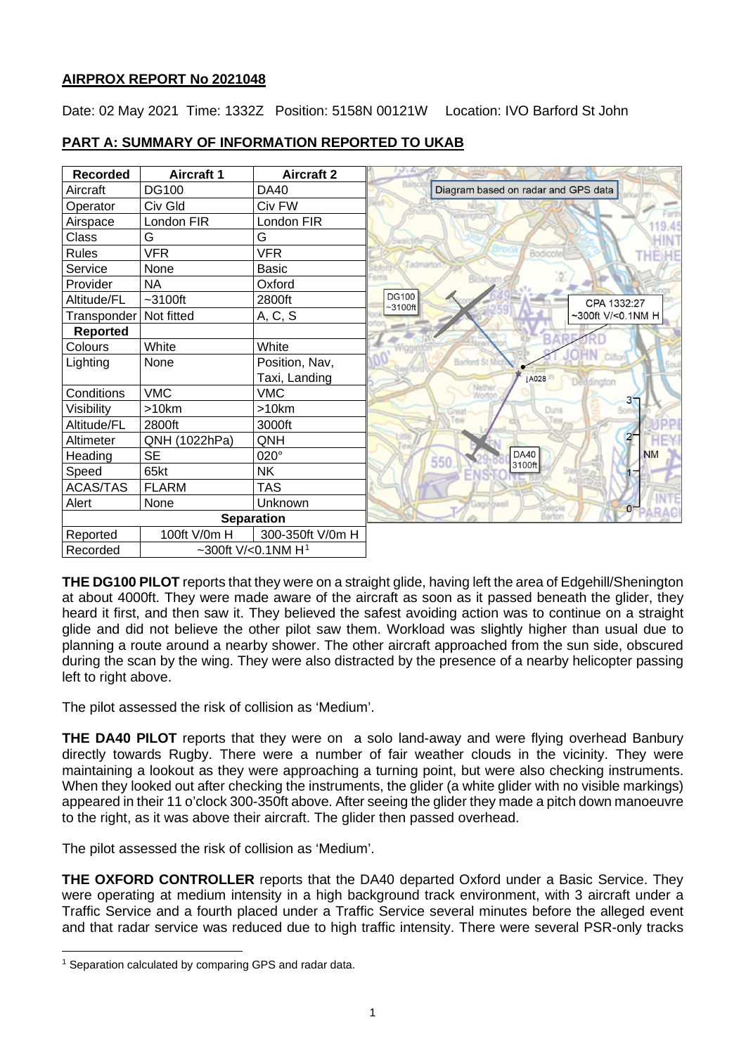# **AIRPROX REPORT No 2021048**

Date: 02 May 2021 Time: 1332Z Position: 5158N 00121W Location: IVO Barford St John

| <b>Recorded</b>                  | <b>Aircraft 1</b> | <b>Aircraft 2</b> |                                          |
|----------------------------------|-------------------|-------------------|------------------------------------------|
| Aircraft                         | <b>DG100</b>      | DA40              | Diagram based on radar and GPS data      |
| Operator                         | Civ Gld           | Civ FW            |                                          |
| Airspace                         | London FIR        | London FIR        | 19.45                                    |
| Class                            | G                 | G                 |                                          |
| <b>Rules</b>                     | <b>VFR</b>        | VFR               | Bodicote<br>THEYHE                       |
| Service                          | None              | <b>Basic</b>      | Tadmarton                                |
| Provider                         | <b>NA</b>         | Oxford            | Bloxhan                                  |
| Altitude/FL                      | $-3100$ ft        | 2800ft            | <b>DG100</b><br>CPA 1332:27<br>$~100$ ft |
| Transponder                      | Not fitted        | A, C, S           | ~300ft V/<0.1NM H                        |
| <b>Reported</b>                  |                   |                   |                                          |
| Colours                          | White             | White             |                                          |
| Lighting                         | None              | Position, Nav,    | Barford St                               |
|                                  |                   | Taxi, Landing     | <b>JA028</b><br>Deudington               |
| Conditions                       | <b>VMC</b>        | <b>VMC</b>        | $3-$                                     |
| Visibility                       | >10km             | $>10$ km          | Duns<br>Great                            |
| Altitude/FL                      | 2800ft            | 3000ft            |                                          |
| Altimeter                        | QNH (1022hPa)     | QNH               | $2^{\circ}$                              |
| Heading                          | <b>SE</b>         | 020°              | <b>DA40</b><br><b>NM</b><br>550          |
| Speed                            | 65kt              | <b>NK</b>         | 3100ft                                   |
| <b>ACAS/TAS</b>                  | <b>FLARM</b>      | <b>TAS</b>        |                                          |
| Alert                            | None              | Unknown           | $\mathbf{O}$                             |
|                                  |                   | <b>Separation</b> |                                          |
| Reported                         | 100ft V/0m H      | 300-350ft V/0m H  |                                          |
| ~300ft V/<0.1NM $H1$<br>Recorded |                   |                   |                                          |

# **PART A: SUMMARY OF INFORMATION REPORTED TO UKAB**

**THE DG100 PILOT** reports that they were on a straight glide, having left the area of Edgehill/Shenington at about 4000ft. They were made aware of the aircraft as soon as it passed beneath the glider, they heard it first, and then saw it. They believed the safest avoiding action was to continue on a straight glide and did not believe the other pilot saw them. Workload was slightly higher than usual due to planning a route around a nearby shower. The other aircraft approached from the sun side, obscured during the scan by the wing. They were also distracted by the presence of a nearby helicopter passing left to right above.

The pilot assessed the risk of collision as 'Medium'.

**THE DA40 PILOT** reports that they were on a solo land-away and were flying overhead Banbury directly towards Rugby. There were a number of fair weather clouds in the vicinity. They were maintaining a lookout as they were approaching a turning point, but were also checking instruments. When they looked out after checking the instruments, the glider (a white glider with no visible markings) appeared in their 11 o'clock 300-350ft above. After seeing the glider they made a pitch down manoeuvre to the right, as it was above their aircraft. The glider then passed overhead.

The pilot assessed the risk of collision as 'Medium'.

**THE OXFORD CONTROLLER** reports that the DA40 departed Oxford under a Basic Service. They were operating at medium intensity in a high background track environment, with 3 aircraft under a Traffic Service and a fourth placed under a Traffic Service several minutes before the alleged event and that radar service was reduced due to high traffic intensity. There were several PSR-only tracks

<span id="page-0-0"></span><sup>1</sup> Separation calculated by comparing GPS and radar data.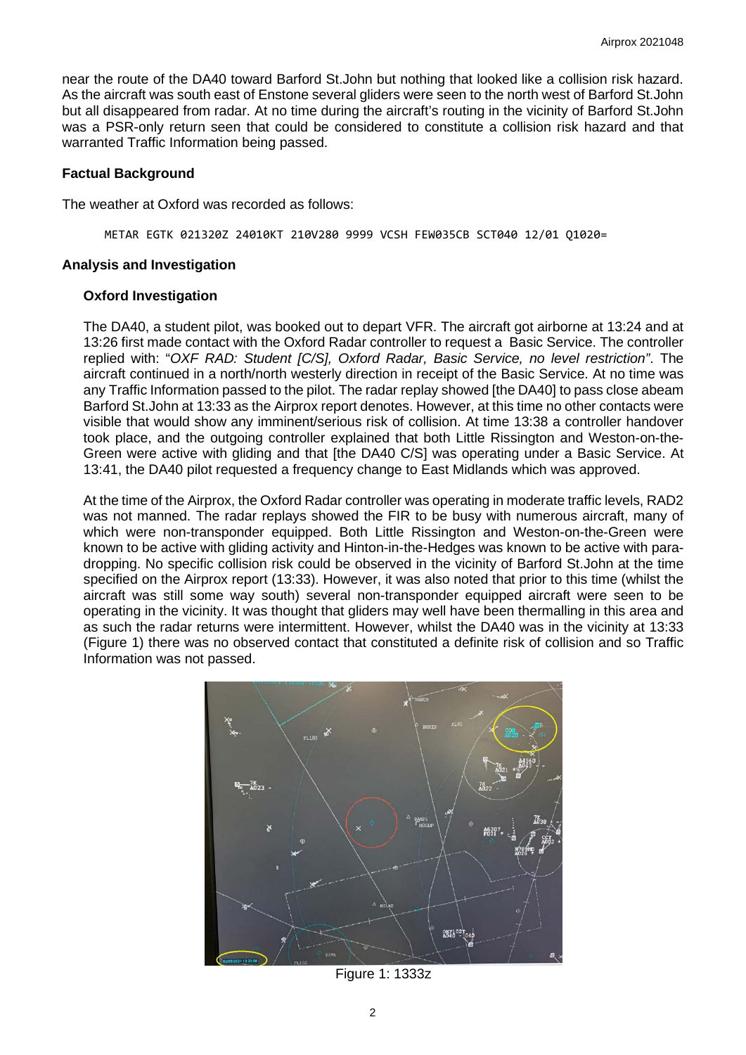near the route of the DA40 toward Barford St.John but nothing that looked like a collision risk hazard. As the aircraft was south east of Enstone several gliders were seen to the north west of Barford St.John but all disappeared from radar. At no time during the aircraft's routing in the vicinity of Barford St.John was a PSR-only return seen that could be considered to constitute a collision risk hazard and that warranted Traffic Information being passed.

### **Factual Background**

The weather at Oxford was recorded as follows:

METAR EGTK 021320Z 24010KT 210V280 9999 VCSH FEW035CB SCT040 12/01 Q1020=

#### **Analysis and Investigation**

#### **Oxford Investigation**

The DA40, a student pilot, was booked out to depart VFR. The aircraft got airborne at 13:24 and at 13:26 first made contact with the Oxford Radar controller to request a Basic Service. The controller replied with: "*OXF RAD: Student [C/S], Oxford Radar, Basic Service, no level restriction"*. The aircraft continued in a north/north westerly direction in receipt of the Basic Service. At no time was any Traffic Information passed to the pilot. The radar replay showed [the DA40] to pass close abeam Barford St.John at 13:33 as the Airprox report denotes. However, at this time no other contacts were visible that would show any imminent/serious risk of collision. At time 13:38 a controller handover took place, and the outgoing controller explained that both Little Rissington and Weston-on-the-Green were active with gliding and that [the DA40 C/S] was operating under a Basic Service. At 13:41, the DA40 pilot requested a frequency change to East Midlands which was approved.

At the time of the Airprox, the Oxford Radar controller was operating in moderate traffic levels, RAD2 was not manned. The radar replays showed the FIR to be busy with numerous aircraft, many of which were non-transponder equipped. Both Little Rissington and Weston-on-the-Green were known to be active with gliding activity and Hinton-in-the-Hedges was known to be active with paradropping. No specific collision risk could be observed in the vicinity of Barford St.John at the time specified on the Airprox report (13:33). However, it was also noted that prior to this time (whilst the aircraft was still some way south) several non-transponder equipped aircraft were seen to be operating in the vicinity. It was thought that gliders may well have been thermalling in this area and as such the radar returns were intermittent. However, whilst the DA40 was in the vicinity at 13:33 (Figure 1) there was no observed contact that constituted a definite risk of collision and so Traffic Information was not passed.



Figure 1: 1333z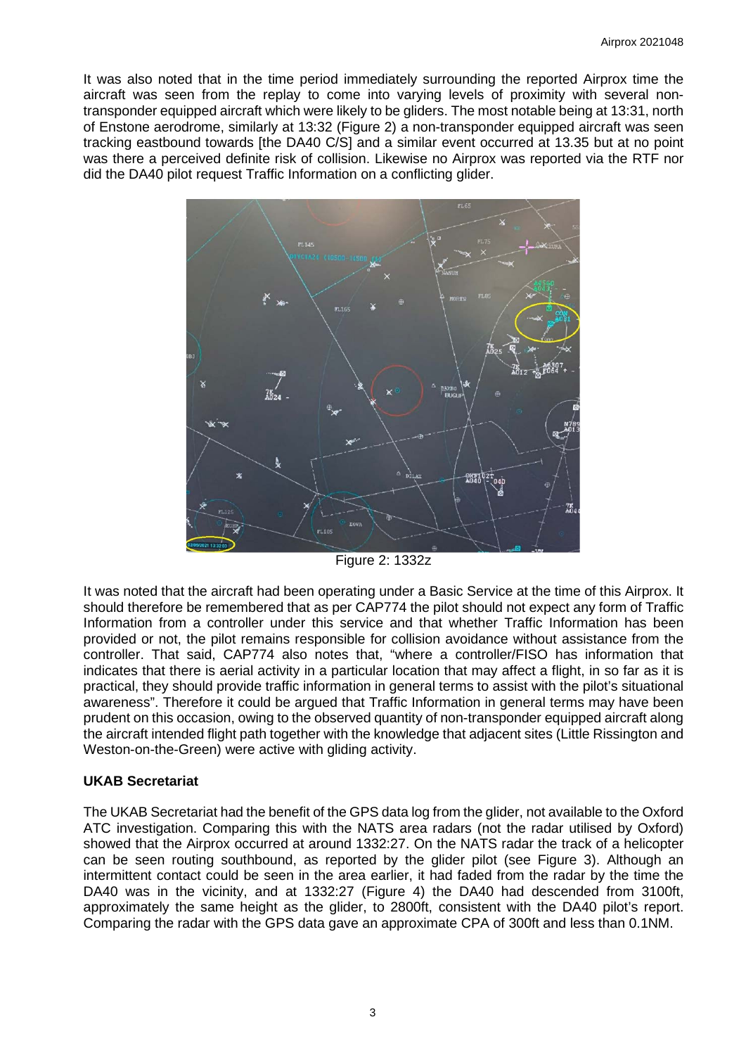It was also noted that in the time period immediately surrounding the reported Airprox time the aircraft was seen from the replay to come into varying levels of proximity with several nontransponder equipped aircraft which were likely to be gliders. The most notable being at 13:31, north of Enstone aerodrome, similarly at 13:32 (Figure 2) a non-transponder equipped aircraft was seen tracking eastbound towards [the DA40 C/S] and a similar event occurred at 13.35 but at no point was there a perceived definite risk of collision. Likewise no Airprox was reported via the RTF nor did the DA40 pilot request Traffic Information on a conflicting glider.



Figure 2: 1332z

It was noted that the aircraft had been operating under a Basic Service at the time of this Airprox. It should therefore be remembered that as per CAP774 the pilot should not expect any form of Traffic Information from a controller under this service and that whether Traffic Information has been provided or not, the pilot remains responsible for collision avoidance without assistance from the controller. That said, CAP774 also notes that, "where a controller/FISO has information that indicates that there is aerial activity in a particular location that may affect a flight, in so far as it is practical, they should provide traffic information in general terms to assist with the pilot's situational awareness". Therefore it could be argued that Traffic Information in general terms may have been prudent on this occasion, owing to the observed quantity of non-transponder equipped aircraft along the aircraft intended flight path together with the knowledge that adjacent sites (Little Rissington and Weston-on-the-Green) were active with gliding activity.

# **UKAB Secretariat**

The UKAB Secretariat had the benefit of the GPS data log from the glider, not available to the Oxford ATC investigation. Comparing this with the NATS area radars (not the radar utilised by Oxford) showed that the Airprox occurred at around 1332:27. On the NATS radar the track of a helicopter can be seen routing southbound, as reported by the glider pilot (see Figure 3). Although an intermittent contact could be seen in the area earlier, it had faded from the radar by the time the DA40 was in the vicinity, and at 1332:27 (Figure 4) the DA40 had descended from 3100ft, approximately the same height as the glider, to 2800ft, consistent with the DA40 pilot's report. Comparing the radar with the GPS data gave an approximate CPA of 300ft and less than 0.1NM.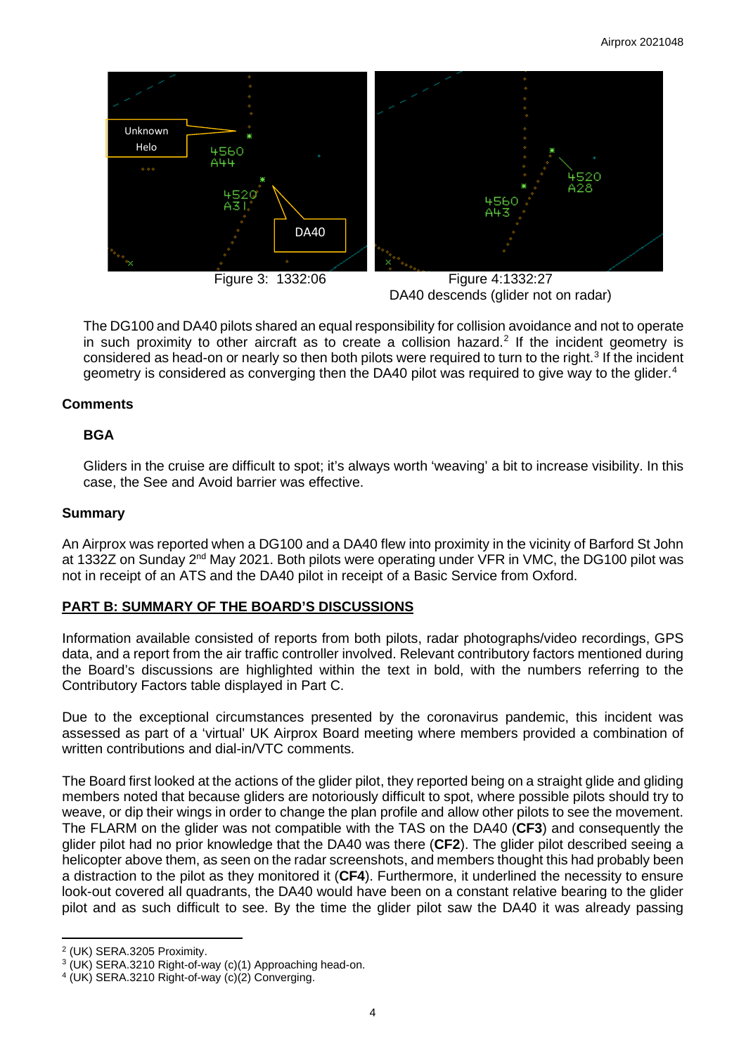

DA40 descends (glider not on radar)

The DG100 and DA40 pilots shared an equal responsibility for collision avoidance and not to operate in such proximity to other aircraft as to create a collision hazard. [2](#page-3-0) If the incident geometry is considered as head-on or nearly so then both pilots were required to turn to the right.<sup>[3](#page-3-1)</sup> If the incident geometry is considered as converging then the DA[4](#page-3-2)0 pilot was required to give way to the glider.<sup>4</sup>

# **Comments**

## **BGA**

Gliders in the cruise are difficult to spot; it's always worth 'weaving' a bit to increase visibility. In this case, the See and Avoid barrier was effective.

## **Summary**

An Airprox was reported when a DG100 and a DA40 flew into proximity in the vicinity of Barford St John at 1332Z on Sunday 2<sup>nd</sup> May 2021. Both pilots were operating under VFR in VMC, the DG100 pilot was not in receipt of an ATS and the DA40 pilot in receipt of a Basic Service from Oxford.

# **PART B: SUMMARY OF THE BOARD'S DISCUSSIONS**

Information available consisted of reports from both pilots, radar photographs/video recordings, GPS data, and a report from the air traffic controller involved. Relevant contributory factors mentioned during the Board's discussions are highlighted within the text in bold, with the numbers referring to the Contributory Factors table displayed in Part C.

Due to the exceptional circumstances presented by the coronavirus pandemic, this incident was assessed as part of a 'virtual' UK Airprox Board meeting where members provided a combination of written contributions and dial-in/VTC comments.

The Board first looked at the actions of the glider pilot, they reported being on a straight glide and gliding members noted that because gliders are notoriously difficult to spot, where possible pilots should try to weave, or dip their wings in order to change the plan profile and allow other pilots to see the movement. The FLARM on the glider was not compatible with the TAS on the DA40 (**CF3**) and consequently the glider pilot had no prior knowledge that the DA40 was there (**CF2**). The glider pilot described seeing a helicopter above them, as seen on the radar screenshots, and members thought this had probably been a distraction to the pilot as they monitored it (**CF4**). Furthermore, it underlined the necessity to ensure look-out covered all quadrants, the DA40 would have been on a constant relative bearing to the glider pilot and as such difficult to see. By the time the glider pilot saw the DA40 it was already passing

<span id="page-3-0"></span><sup>2</sup> (UK) SERA.3205 Proximity.

<span id="page-3-1"></span><sup>&</sup>lt;sup>3</sup> (UK) SERA.3210 Right-of-way (c)(1) Approaching head-on.<br><sup>4</sup> (UK) SERA.3210 Right-of-way (c)(2) Converging.

<span id="page-3-2"></span>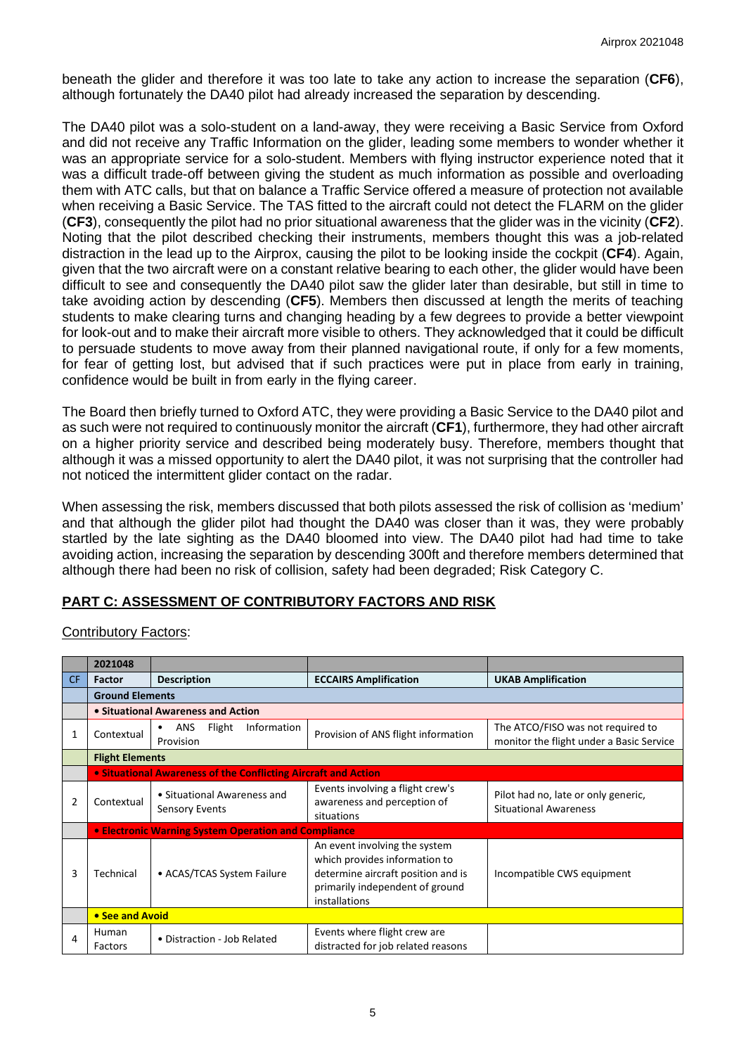beneath the glider and therefore it was too late to take any action to increase the separation (**CF6**), although fortunately the DA40 pilot had already increased the separation by descending.

The DA40 pilot was a solo-student on a land-away, they were receiving a Basic Service from Oxford and did not receive any Traffic Information on the glider, leading some members to wonder whether it was an appropriate service for a solo-student. Members with flying instructor experience noted that it was a difficult trade-off between giving the student as much information as possible and overloading them with ATC calls, but that on balance a Traffic Service offered a measure of protection not available when receiving a Basic Service. The TAS fitted to the aircraft could not detect the FLARM on the glider (**CF3**), consequently the pilot had no prior situational awareness that the glider was in the vicinity (**CF2**). Noting that the pilot described checking their instruments, members thought this was a job-related distraction in the lead up to the Airprox, causing the pilot to be looking inside the cockpit (**CF4**). Again, given that the two aircraft were on a constant relative bearing to each other, the glider would have been difficult to see and consequently the DA40 pilot saw the glider later than desirable, but still in time to take avoiding action by descending (**CF5**). Members then discussed at length the merits of teaching students to make clearing turns and changing heading by a few degrees to provide a better viewpoint for look-out and to make their aircraft more visible to others. They acknowledged that it could be difficult to persuade students to move away from their planned navigational route, if only for a few moments, for fear of getting lost, but advised that if such practices were put in place from early in training, confidence would be built in from early in the flying career.

The Board then briefly turned to Oxford ATC, they were providing a Basic Service to the DA40 pilot and as such were not required to continuously monitor the aircraft (**CF1**), furthermore, they had other aircraft on a higher priority service and described being moderately busy. Therefore, members thought that although it was a missed opportunity to alert the DA40 pilot, it was not surprising that the controller had not noticed the intermittent glider contact on the radar.

When assessing the risk, members discussed that both pilots assessed the risk of collision as 'medium' and that although the glider pilot had thought the DA40 was closer than it was, they were probably startled by the late sighting as the DA40 bloomed into view. The DA40 pilot had had time to take avoiding action, increasing the separation by descending 300ft and therefore members determined that although there had been no risk of collision, safety had been degraded; Risk Category C.

# **PART C: ASSESSMENT OF CONTRIBUTORY FACTORS AND RISK**

Contributory Factors:

|     | 2021048                |                                                                |                                                                                                                                                          |                                                                               |  |  |  |  |
|-----|------------------------|----------------------------------------------------------------|----------------------------------------------------------------------------------------------------------------------------------------------------------|-------------------------------------------------------------------------------|--|--|--|--|
| CF. | <b>Factor</b>          | <b>Description</b>                                             | <b>ECCAIRS Amplification</b>                                                                                                                             | <b>UKAB Amplification</b>                                                     |  |  |  |  |
|     |                        | <b>Ground Elements</b>                                         |                                                                                                                                                          |                                                                               |  |  |  |  |
|     |                        | • Situational Awareness and Action                             |                                                                                                                                                          |                                                                               |  |  |  |  |
| 1   | Contextual             | ANS<br>Information<br>Flight<br>٠<br>Provision                 | Provision of ANS flight information                                                                                                                      | The ATCO/FISO was not required to<br>monitor the flight under a Basic Service |  |  |  |  |
|     | <b>Flight Elements</b> |                                                                |                                                                                                                                                          |                                                                               |  |  |  |  |
|     |                        | • Situational Awareness of the Conflicting Aircraft and Action |                                                                                                                                                          |                                                                               |  |  |  |  |
|     | Contextual             | • Situational Awareness and<br><b>Sensory Events</b>           | Events involving a flight crew's<br>awareness and perception of<br>situations                                                                            | Pilot had no, late or only generic,<br><b>Situational Awareness</b>           |  |  |  |  |
|     |                        | • Electronic Warning System Operation and Compliance           |                                                                                                                                                          |                                                                               |  |  |  |  |
| 3   | Technical              | • ACAS/TCAS System Failure                                     | An event involving the system<br>which provides information to<br>determine aircraft position and is<br>primarily independent of ground<br>installations | Incompatible CWS equipment                                                    |  |  |  |  |
|     | • See and Avoid        |                                                                |                                                                                                                                                          |                                                                               |  |  |  |  |
| 4   | Human<br>Factors       | • Distraction - Job Related                                    | Events where flight crew are<br>distracted for job related reasons                                                                                       |                                                                               |  |  |  |  |